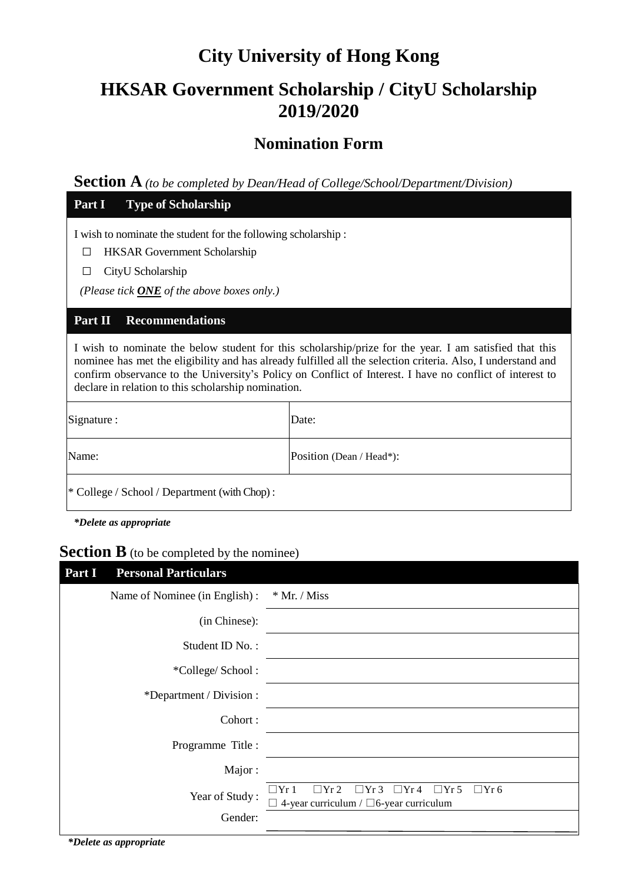# **City University of Hong Kong**

## **HKSAR Government Scholarship / CityU Scholarship 2019/2020**

## **Nomination Form**

**Section A** *(to be completed by Dean/Head of College/School/Department/Division)*

| Part I<br><b>Type of Scholarship</b>                                                                                                                                                                                                                                                                                                                                                      |                          |  |  |
|-------------------------------------------------------------------------------------------------------------------------------------------------------------------------------------------------------------------------------------------------------------------------------------------------------------------------------------------------------------------------------------------|--------------------------|--|--|
| I wish to nominate the student for the following scholarship:<br><b>HKSAR</b> Government Scholarship<br>CityU Scholarship<br>$\mathsf{L}$<br>(Please tick $\overline{ONE}$ of the above boxes only.)                                                                                                                                                                                      |                          |  |  |
| Part II<br><b>Recommendations</b>                                                                                                                                                                                                                                                                                                                                                         |                          |  |  |
| I wish to nominate the below student for this scholarship/prize for the year. I am satisfied that this<br>nominee has met the eligibility and has already fulfilled all the selection criteria. Also, I understand and<br>confirm observance to the University's Policy on Conflict of Interest. I have no conflict of interest to<br>declare in relation to this scholarship nomination. |                          |  |  |
| Signature :                                                                                                                                                                                                                                                                                                                                                                               | Date:                    |  |  |
| Name:                                                                                                                                                                                                                                                                                                                                                                                     | Position (Dean / Head*): |  |  |
| * College / School / Department (with Chop):                                                                                                                                                                                                                                                                                                                                              |                          |  |  |

*\*Delete as appropriate*

## **Section B** (to be completed by the nominee)

| Part I<br><b>Personal Particulars</b> |                                                                                                                           |
|---------------------------------------|---------------------------------------------------------------------------------------------------------------------------|
| Name of Nominee (in English):         | $*$ Mr. / Miss                                                                                                            |
| (in Chinese):                         |                                                                                                                           |
| Student ID No.:                       |                                                                                                                           |
| *College/School:                      |                                                                                                                           |
| *Department / Division :              |                                                                                                                           |
| Cohort:                               |                                                                                                                           |
| Programme Title :                     |                                                                                                                           |
| Major:                                |                                                                                                                           |
| Year of Study:                        | $\Box Yr3 \Box Yr4 \Box Yr5$<br>$\Box$ Yr 1<br>$\Box$ Yr 2<br>$\Box$ Yr 6<br>4-year curriculum / $\Box$ 6-year curriculum |
| Gender:                               |                                                                                                                           |

*\*Delete as appropriate*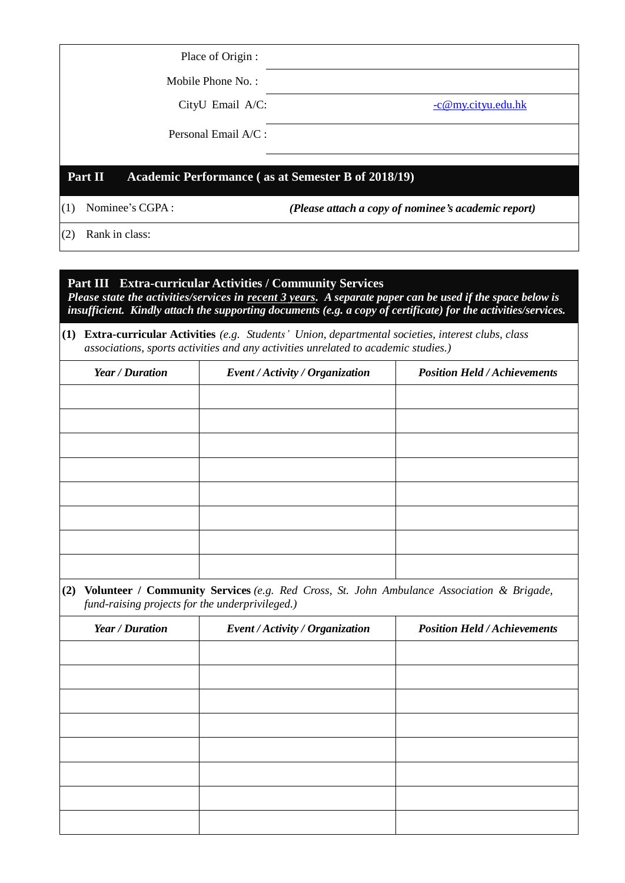| Place of Origin :                                                             |                      |  |  |  |
|-------------------------------------------------------------------------------|----------------------|--|--|--|
| Mobile Phone No.:                                                             |                      |  |  |  |
| CityU Email A/C:                                                              | $-c@my.cityu.edu.hk$ |  |  |  |
| Personal Email $A/C$ :                                                        |                      |  |  |  |
| Part II<br>Academic Performance (as at Semester B of 2018/19)                 |                      |  |  |  |
| Nominee's CGPA:<br>(1)<br>(Please attach a copy of nominee's academic report) |                      |  |  |  |
| .                                                                             |                      |  |  |  |

(2) Rank in class:

### **Part III Extra-curricular Activities / Community Services**

*Please state the activities/services in recent 3 years. A separate paper can be used if the space below is insufficient. Kindly attach the supporting documents (e.g. a copy of certificate) for the activities/services.* 

#### **(1) Extra-curricular Activities** *(e.g. Students' Union, departmental societies, interest clubs, class associations, sports activities and any activities unrelated to academic studies.)*

| Year / Duration | Event / Activity / Organization | <b>Position Held / Achievements</b> |
|-----------------|---------------------------------|-------------------------------------|
|                 |                                 |                                     |
|                 |                                 |                                     |
|                 |                                 |                                     |
|                 |                                 |                                     |
|                 |                                 |                                     |
|                 |                                 |                                     |
|                 |                                 |                                     |
|                 |                                 |                                     |

**(2) Volunteer / Community Services** *(e.g. Red Cross, St. John Ambulance Association & Brigade, fund-raising projects for the underprivileged.)*

| Year / Duration | Event / Activity / Organization | <b>Position Held / Achievements</b> |
|-----------------|---------------------------------|-------------------------------------|
|                 |                                 |                                     |
|                 |                                 |                                     |
|                 |                                 |                                     |
|                 |                                 |                                     |
|                 |                                 |                                     |
|                 |                                 |                                     |
|                 |                                 |                                     |
|                 |                                 |                                     |